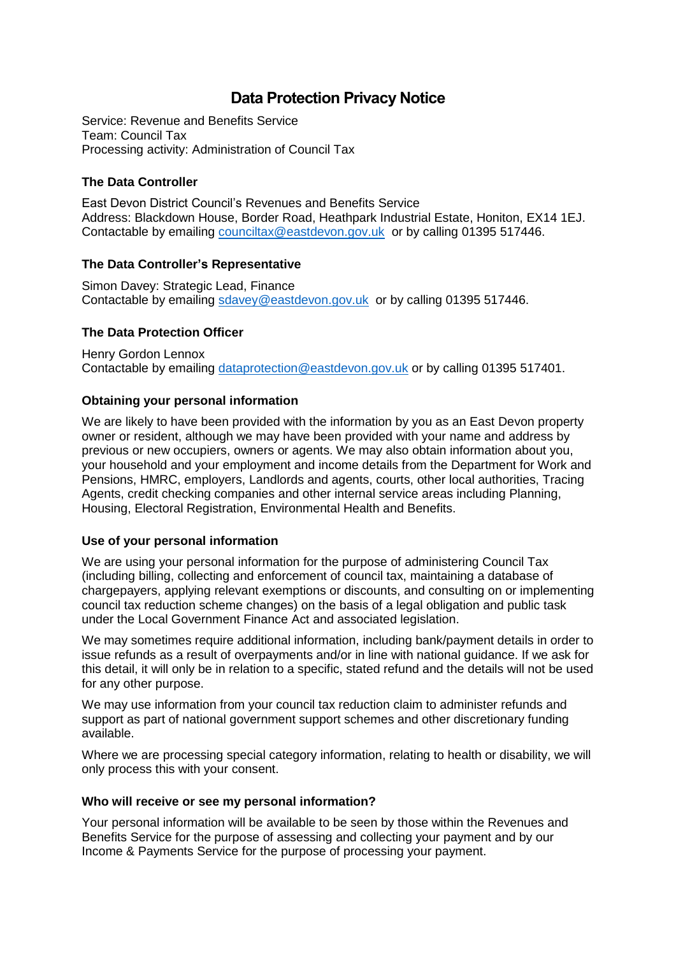# **Data Protection Privacy Notice**

Service: Revenue and Benefits Service Team: Council Tax Processing activity: Administration of Council Tax

## **The Data Controller**

East Devon District Council's Revenues and Benefits Service Address: Blackdown House, Border Road, Heathpark Industrial Estate, Honiton, EX14 1EJ. Contactable by emailing [counciltax@eastdevon.gov.uk](mailto:counciltax@eastdevon.gov.uk) or by calling 01395 517446.

### **The Data Controller's Representative**

Simon Davey: Strategic Lead, Finance Contactable by emailing [sdavey@eastdevon.gov.uk](mailto:sdavey@eastdevon.gov.uk) or by calling 01395 517446.

## **The Data Protection Officer**

Henry Gordon Lennox Contactable by emailing [dataprotection@eastdevon.gov.uk](mailto:dataprotection@eastdevon.gov.uk) or by calling 01395 517401.

## **Obtaining your personal information**

We are likely to have been provided with the information by you as an East Devon property owner or resident, although we may have been provided with your name and address by previous or new occupiers, owners or agents. We may also obtain information about you, your household and your employment and income details from the Department for Work and Pensions, HMRC, employers, Landlords and agents, courts, other local authorities, Tracing Agents, credit checking companies and other internal service areas including Planning, Housing, Electoral Registration, Environmental Health and Benefits.

### **Use of your personal information**

We are using your personal information for the purpose of administering Council Tax (including billing, collecting and enforcement of council tax, maintaining a database of chargepayers, applying relevant exemptions or discounts, and consulting on or implementing council tax reduction scheme changes) on the basis of a legal obligation and public task under the Local Government Finance Act and associated legislation.

We may sometimes require additional information, including bank/payment details in order to issue refunds as a result of overpayments and/or in line with national guidance. If we ask for this detail, it will only be in relation to a specific, stated refund and the details will not be used for any other purpose.

We may use information from your council tax reduction claim to administer refunds and support as part of national government support schemes and other discretionary funding available.

Where we are processing special category information, relating to health or disability, we will only process this with your consent.

### **Who will receive or see my personal information?**

Your personal information will be available to be seen by those within the Revenues and Benefits Service for the purpose of assessing and collecting your payment and by our Income & Payments Service for the purpose of processing your payment.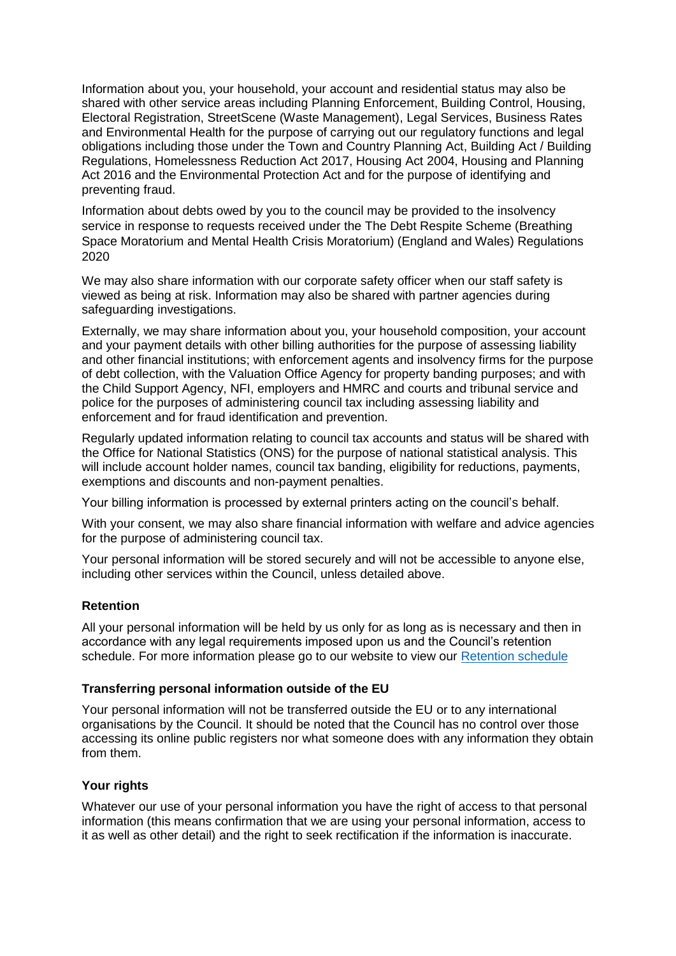Information about you, your household, your account and residential status may also be shared with other service areas including Planning Enforcement, Building Control, Housing, Electoral Registration, StreetScene (Waste Management), Legal Services, Business Rates and Environmental Health for the purpose of carrying out our regulatory functions and legal obligations including those under the Town and Country Planning Act, Building Act / Building Regulations, Homelessness Reduction Act 2017, Housing Act 2004, Housing and Planning Act 2016 and the Environmental Protection Act and for the purpose of identifying and preventing fraud.

Information about debts owed by you to the council may be provided to the insolvency service in response to requests received under the The Debt Respite Scheme (Breathing Space Moratorium and Mental Health Crisis Moratorium) (England and Wales) Regulations 2020

We may also share information with our corporate safety officer when our staff safety is viewed as being at risk. Information may also be shared with partner agencies during safeguarding investigations.

Externally, we may share information about you, your household composition, your account and your payment details with other billing authorities for the purpose of assessing liability and other financial institutions; with enforcement agents and insolvency firms for the purpose of debt collection, with the Valuation Office Agency for property banding purposes; and with the Child Support Agency, NFI, employers and HMRC and courts and tribunal service and police for the purposes of administering council tax including assessing liability and enforcement and for fraud identification and prevention.

Regularly updated information relating to council tax accounts and status will be shared with the Office for National Statistics (ONS) for the purpose of national statistical analysis. This will include account holder names, council tax banding, eligibility for reductions, payments, exemptions and discounts and non-payment penalties.

Your billing information is processed by external printers acting on the council's behalf.

With your consent, we may also share financial information with welfare and advice agencies for the purpose of administering council tax.

Your personal information will be stored securely and will not be accessible to anyone else, including other services within the Council, unless detailed above.

### **Retention**

All your personal information will be held by us only for as long as is necessary and then in accordance with any legal requirements imposed upon us and the Council's retention schedule. For more information please go to our website to view our [Retention schedule](http://eastdevon.gov.uk/access-to-information/data-protection/document-retention-schedules/)

#### **Transferring personal information outside of the EU**

Your personal information will not be transferred outside the EU or to any international organisations by the Council. It should be noted that the Council has no control over those accessing its online public registers nor what someone does with any information they obtain from them.

### **Your rights**

Whatever our use of your personal information you have the right of access to that personal information (this means confirmation that we are using your personal information, access to it as well as other detail) and the right to seek rectification if the information is inaccurate.